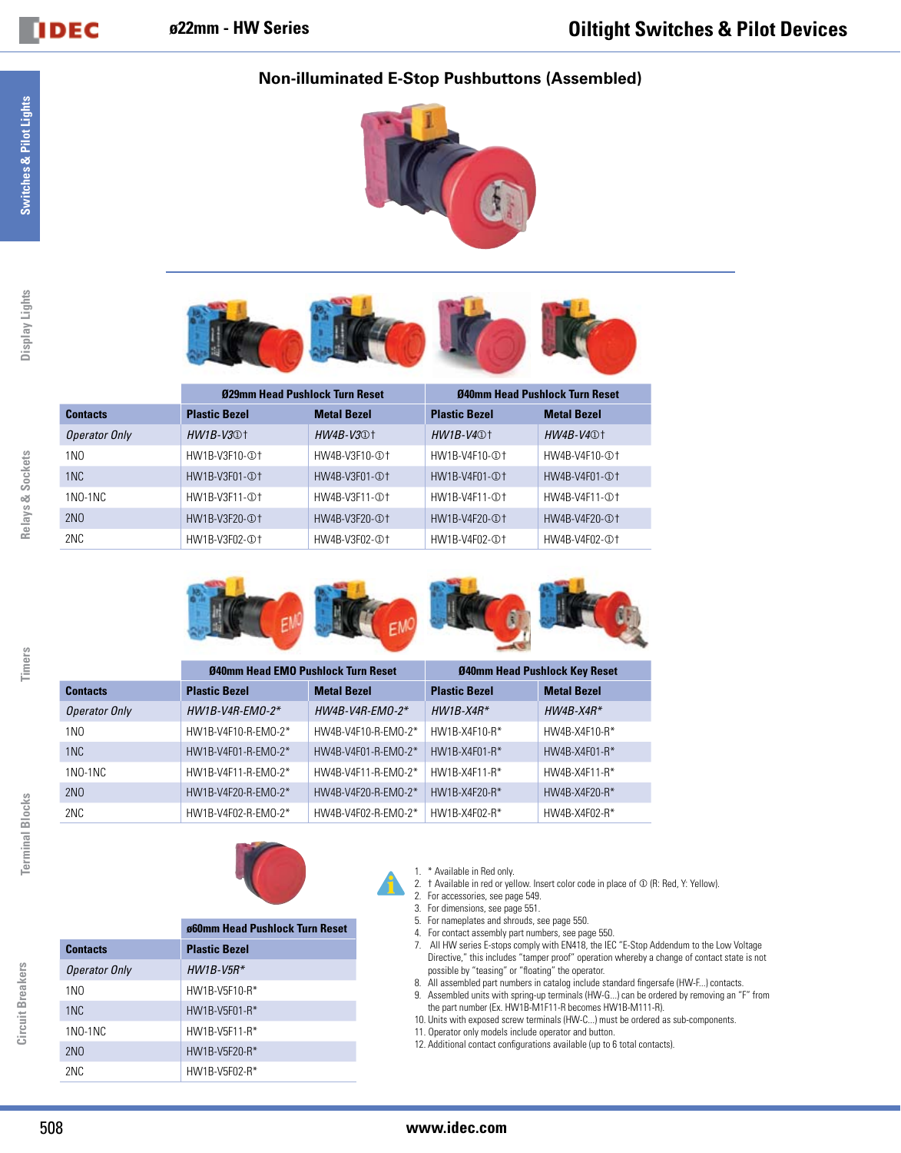## **Non-illuminated E-Stop Pushbuttons (Assembled)**





|                 | 029mm Head Pushlock Turn Reset |                    | 040mm Head Pushlock Turn Reset |                    |  |  |
|-----------------|--------------------------------|--------------------|--------------------------------|--------------------|--|--|
| <b>Contacts</b> | <b>Plastic Bezel</b>           | <b>Metal Bezel</b> | <b>Plastic Bezel</b>           | <b>Metal Bezel</b> |  |  |
| Operator Only   | $HW1B-V30$ <sup>+</sup>        | $HW4B-V3@$         | $HW1B-V4@$                     | $HW4B-V4@$         |  |  |
| 1 <sub>N</sub>  | HW1B-V3F10-①1                  | HW4B-V3F10-①1      | HW1B-V4F10-①1                  | HW4B-V4F10-①1      |  |  |
| 1 <sub>NC</sub> | HW1B-V3F01-①1                  | HW4B-V3F01-①1      | HW1B-V4F01-①1                  | HW4B-V4F01-①1      |  |  |
| $1NO-1NC$       | HW1B-V3F11-①1                  | HW4B-V3F11-①1      | HW1R-V4F11-①1                  | HW4B-V4F11-①1      |  |  |
| 2N <sub>0</sub> | HW1B-V3F20-①1                  | HW4B-V3F20-①1      | HW1B-V4F20-①1                  | HW4B-V4F20-①1      |  |  |
| 2NC             | HW1B-V3F02-①1                  | HW4B-V3F02-①1      | HW1B-V4F02-①1                  | HW4B-V4F02-①1      |  |  |







|                      | 040mm Head EMO Pushlock Turn Reset |                     | Ø40mm Head Pushlock Key Reset |                    |  |
|----------------------|------------------------------------|---------------------|-------------------------------|--------------------|--|
| <b>Contacts</b>      | <b>Plastic Bezel</b>               | <b>Metal Bezel</b>  | <b>Plastic Bezel</b>          | <b>Metal Bezel</b> |  |
| <b>Operator Only</b> | $HW1B-V4R-EM0-2*$                  | $HW4B-V4R$ -EMO-2*  | $HW1B- X4R*$                  | $HW4B- X4R*$       |  |
| 1 <sub>N</sub>       | HW1B-V4F10-R-EM0-2*                | HW4B-V4F10-R-EM0-2* | HW1B-X4F10-R*                 | HW4B-X4F10-R*      |  |
| 1 <sub>NC</sub>      | HW1B-V4F01-R-EMO-2*                | HW4B-V4F01-R-EMO-2* | HW1B-X4F01-R*                 | HW4B-X4F01-R*      |  |
| $1NO-1NC$            | HW1B-V4F11-R-EM0-2*                | HW4B-V4F11-R-EM0-2* | $HW1B-X4F11-R*$               | HW4B-X4F11-R*      |  |
| 2N <sub>0</sub>      | HW1B-V4F20-R-EMO-2*                | HW4B-V4F20-R-EMO-2* | HW1B-X4F20-R*                 | HW4B-X4F20-R*      |  |
| 2NC                  | HW1B-V4F02-R-EMO-2*                | HW4B-V4F02-R-EMO-2* | HW1B-X4F02-R*                 | HW4B-X4F02-R*      |  |





## **ø60mm Head Pushlock Turn Reset**

| <b>Contacts</b>      | <b>Plastic Bezel</b> |  |  |  |  |  |
|----------------------|----------------------|--|--|--|--|--|
| <b>Operator Only</b> | $HW1B-V5R*$          |  |  |  |  |  |
| 1NO                  | HW1B-V5F10-R*        |  |  |  |  |  |
| 1 <sub>NC</sub>      | HW1B-V5F01-R*        |  |  |  |  |  |
| 1NO-1NC              | HW1B-V5F11-R*        |  |  |  |  |  |
| 2NO                  | HW1B-V5F20-R*        |  |  |  |  |  |
| 2NC                  | HW1B-V5F02-R*        |  |  |  |  |  |

## 1. \* Available in Red only.

- 2.  $\pm$  Available in red or yellow. Insert color code in place of  $\Phi$  (R: Red, Y: Yellow).
- 2. For accessories, see page 549.
- 3. For dimensions, see page 551.
- 5. For nameplates and shrouds, see page 550.
- 4. For contact assembly part numbers, see page 550.
- 7. All HW series E-stops comply with EN418, the IEC "E-Stop Addendum to the Low Voltage Directive," this includes "tamper proof" operation whereby a change of contact state is not possible by "teasing" or "floating" the operator.
- 8. All assembled part numbers in catalog include standard fingersafe (HW-F...) contacts. 9. Assembled units with spring-up terminals (HW-G...) can be ordered by removing an "F" from
- the part number (Ex. HW1B-M1F11-R becomes HW1B-M111-R).
- 10. Units with exposed screw terminals (HW-C...) must be ordered as sub-components.
- 11. Operator only models include operator and button.
- 12. Additional contact configurations available (up to 6 total contacts).

**DDEC** 

**Circuit Breakers**

Circuit Breakers